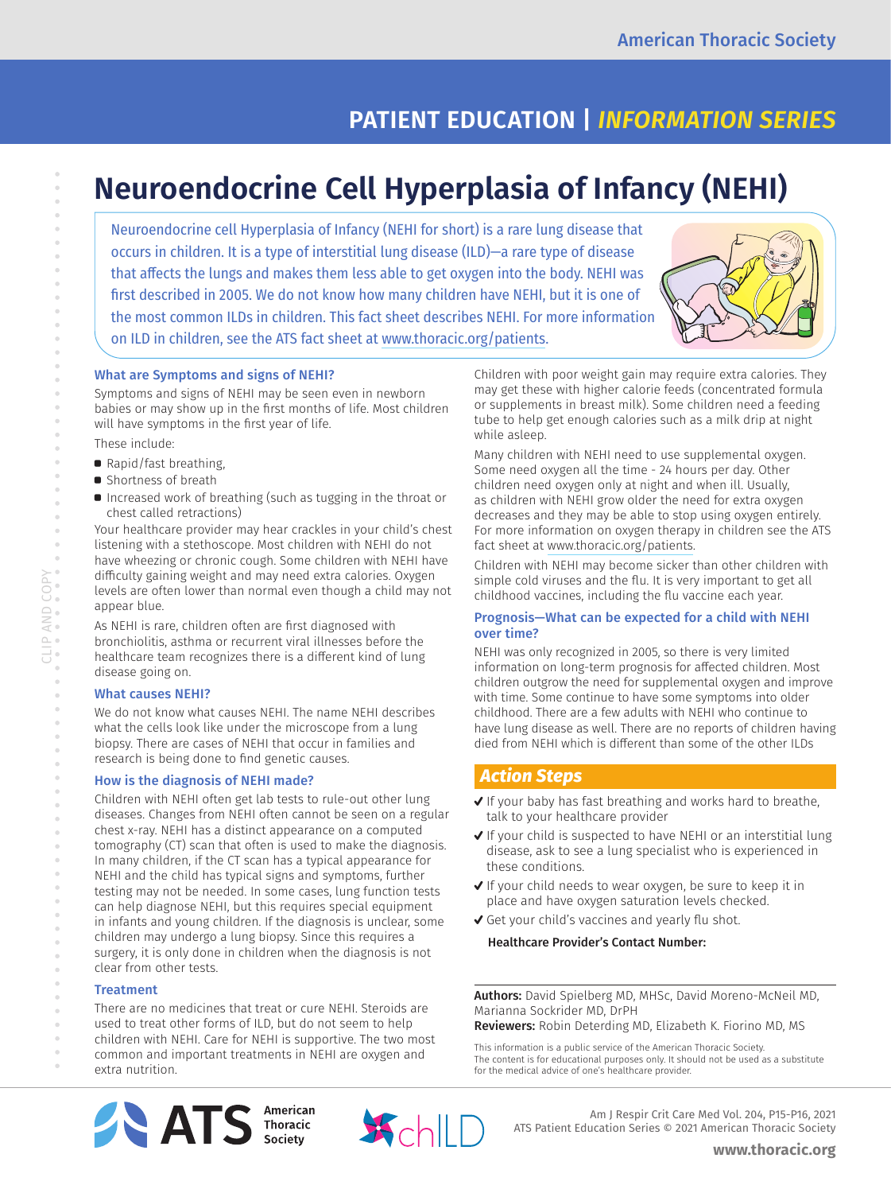# **PATIENT EDUCATION |** *INFORMATION SERIES*

# **Neuroendocrine Cell Hyperplasia of Infancy (NEHI)**

Neuroendocrine cell Hyperplasia of Infancy (NEHI for short) is a rare lung disease that occurs in children. It is a type of interstitial lung disease (ILD)—a rare type of disease that affects the lungs and makes them less able to get oxygen into the body. NEHI was first described in 2005. We do not know how many children have NEHI, but it is one of the most common ILDs in children. This fact sheet describes NEHI. For more information on ILD in children, see the ATS fact sheet at www.thoracic.org/patients.



### What are Symptoms and signs of NEHI?

Symptoms and signs of NEHI may be seen even in newborn babies or may show up in the first months of life. Most children will have symptoms in the first year of life.

These include:

- Rapid/fast breathing,
- **B** Shortness of breath
- **•** Increased work of breathing (such as tugging in the throat or chest called retractions)

Your healthcare provider may hear crackles in your child's chest listening with a stethoscope. Most children with NEHI do not have wheezing or chronic cough. Some children with NEHI have difficulty gaining weight and may need extra calories. Oxygen levels are often lower than normal even though a child may not appear blue.

As NEHI is rare, children often are first diagnosed with bronchiolitis, asthma or recurrent viral illnesses before the healthcare team recognizes there is a different kind of lung disease going on.

#### What causes NEHI?

We do not know what causes NEHI. The name NEHI describes what the cells look like under the microscope from a lung biopsy. There are cases of NEHI that occur in families and research is being done to find genetic causes.

### How is the diagnosis of NEHI made?

Children with NEHI often get lab tests to rule-out other lung diseases. Changes from NEHI often cannot be seen on a regular chest x-ray. NEHI has a distinct appearance on a computed tomography (CT) scan that often is used to make the diagnosis. In many children, if the CT scan has a typical appearance for NEHI and the child has typical signs and symptoms, further testing may not be needed. In some cases, lung function tests can help diagnose NEHI, but this requires special equipment in infants and young children. If the diagnosis is unclear, some children may undergo a lung biopsy. Since this requires a surgery, it is only done in children when the diagnosis is not clear from other tests.

### **Treatment**

There are no medicines that treat or cure NEHI. Steroids are used to treat other forms of ILD, but do not seem to help children with NEHI. Care for NEHI is supportive. The two most common and important treatments in NEHI are oxygen and extra nutrition.

Children with poor weight gain may require extra calories. They may get these with higher calorie feeds (concentrated formula or supplements in breast milk). Some children need a feeding tube to help get enough calories such as a milk drip at night while asleep.

Many children with NEHI need to use supplemental oxygen. Some need oxygen all the time - 24 hours per day. Other children need oxygen only at night and when ill. Usually, as children with NEHI grow older the need for extra oxygen decreases and they may be able to stop using oxygen entirely. For more information on oxygen therapy in children see the ATS fact sheet at [www.thoracic.org/patients](http://www.thoracic.org/patients).

Children with NEHI may become sicker than other children with simple cold viruses and the flu. It is very important to get all childhood vaccines, including the flu vaccine each year.

### Prognosis—What can be expected for a child with NEHI over time?

NEHI was only recognized in 2005, so there is very limited information on long-term prognosis for affected children. Most children outgrow the need for supplemental oxygen and improve with time. Some continue to have some symptoms into older childhood. There are a few adults with NEHI who continue to have lung disease as well. There are no reports of children having died from NEHI which is different than some of the other ILDs

### *Action Steps*

- ✔ If your baby has fast breathing and works hard to breathe, talk to your healthcare provider
- $\sqrt{}$  If your child is suspected to have NEHI or an interstitial lung disease, ask to see a lung specialist who is experienced in these conditions.
- ✔ If your child needs to wear oxygen, be sure to keep it in place and have oxygen saturation levels checked.
- $\checkmark$  Get your child's vaccines and yearly flu shot.

Healthcare Provider's Contact Number:

Authors: David Spielberg MD, MHSc, David Moreno-McNeil MD, Marianna Sockrider MD, DrPH Reviewers: Robin Deterding MD, Elizabeth K. Fiorino MD, MS

This information is a public service of the American Thoracic Society. The content is for educational purposes only. It should not be used as a substitute for the medical advice of one's healthcare provider.





 Am J Respir Crit Care Med Vol. 204, P15-P16, 2021 ATS Patient Education Series © 2021 American Thoracic Society

**www.thoracic.org**